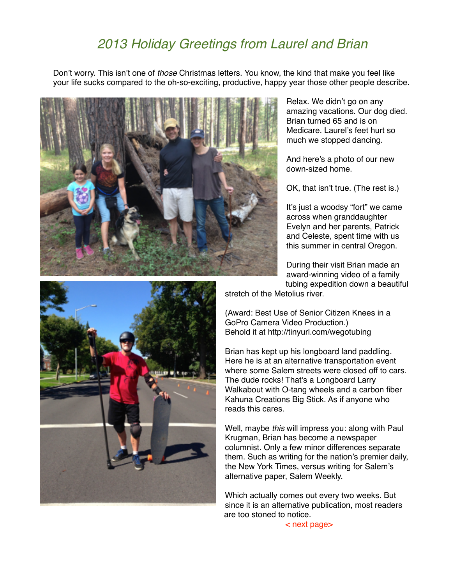## *2013 Holiday Greetings from Laurel and Brian*

Don't worry. This isn't one of *those* Christmas letters. You know, the kind that make you feel like your life sucks compared to the oh-so-exciting, productive, happy year those other people describe.



Relax. We didn't go on any amazing vacations. Our dog died. Brian turned 65 and is on Medicare. Laurel's feet hurt so much we stopped dancing.

And here's a photo of our new down-sized home.

OK, that isn't true. (The rest is.)

It's just a woodsy "fort" we came across when granddaughter Evelyn and her parents, Patrick and Celeste, spent time with us this summer in central Oregon.

During their visit Brian made an award-winning video of a family tubing expedition down a beautiful

stretch of the Metolius river.

(Award: Best Use of Senior Citizen Knees in a GoPro Camera Video Production.) Behold it at http://tinyurl.com/wegotubing

Brian has kept up his longboard land paddling. Here he is at an alternative transportation event where some Salem streets were closed off to cars. The dude rocks! That's a Longboard Larry Walkabout with O-tang wheels and a carbon fiber Kahuna Creations Big Stick. As if anyone who reads this cares.

Well, maybe *this* will impress you: along with Paul Krugman, Brian has become a newspaper columnist. Only a few minor differences separate them. Such as writing for the nation's premier daily, the New York Times, versus writing for Salem's alternative paper, Salem Weekly.

Which actually comes out every two weeks. But since it is an alternative publication, most readers are too stoned to notice.

< next page>